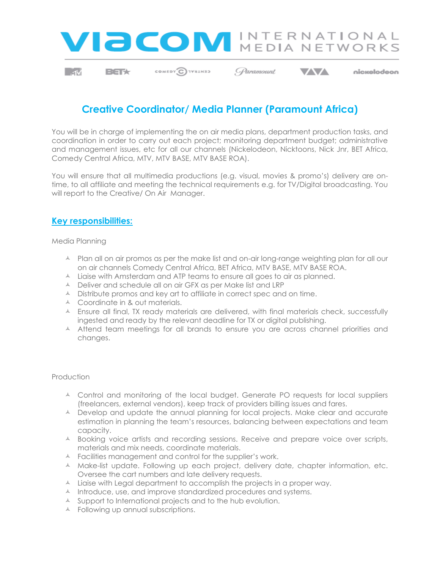

 $\sim$  1

**BETX** 

COMEDY CIVILINIS CParamount

**VV** 

#### nickelodeon

# **Creative Coordinator/ Media Planner (Paramount Africa)**

You will be in charge of implementing the on air media plans, department production tasks, and coordination in order to carry out each project; monitoring department budget; administrative and management issues, etc for all our channels (Nickelodeon, Nicktoons, Nick Jnr, BET Africa, Comedy Central Africa, MTV, MTV BASE, MTV BASE ROA).

You will ensure that all multimedia productions (e.g. visual, movies & promo's) delivery are ontime, to all affiliate and meeting the technical requirements e.g. for TV/Digital broadcasting. You will report to the Creative/ On Air Manager.

### **Key responsibilities:**

Media Planning

- A Plan all on air promos as per the make list and on-air long-range weighting plan for all our on air channels Comedy Central Africa, BET Africa, MTV BASE, MTV BASE ROA.
- A Liaise with Amsterdam and ATP teams to ensure all goes to air as planned.
- A Deliver and schedule all on air GFX as per Make list and LRP
- $\triangle$  Distribute promos and key art to affiliate in correct spec and on time.
- $\triangle$  Coordinate in & out materials.
- A Ensure all final, TX ready materials are delivered, with final materials check, successfully ingested and ready by the relevant deadline for TX or digital publishing.
- A Attend team meetings for all brands to ensure you are across channel priorities and changes.

#### Production

- A Control and monitoring of the local budget. Generate PO requests for local suppliers (freelancers, external vendors), keep track of providers billing issues and fares.
- A Develop and update the annual planning for local projects. Make clear and accurate estimation in planning the team's resources, balancing between expectations and team capacity.
- A Booking voice artists and recording sessions. Receive and prepare voice over scripts, materials and mix needs, coordinate materials.
- A Facilities management and control for the supplier's work.
- A Make-list update. Following up each project, delivery date, chapter information, etc. Oversee the cart numbers and late delivery requests.
- $\triangle$  Liaise with Legal department to accomplish the projects in a proper way.
- A Introduce, use, and improve standardized procedures and systems.
- A Support to International projects and to the hub evolution.
- A Following up annual subscriptions.